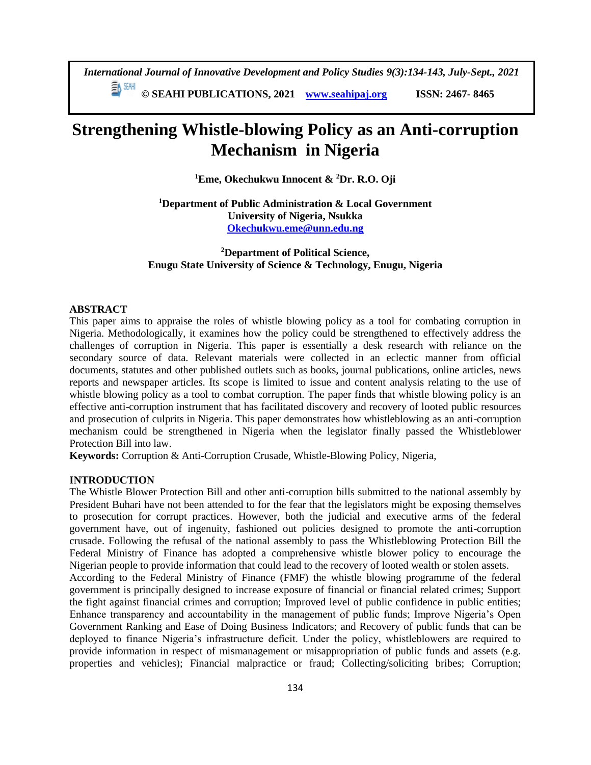*International Journal of Innovative Development and Policy Studies 9(3):134-143, July-Sept., 2021* EN SEMI

**© SEAHI PUBLICATIONS, 2021 [www.seahipaj.org](http://www.seahipaj.org/) ISSN: 2467- 8465**

# **Strengthening Whistle-blowing Policy as an Anti-corruption Mechanism in Nigeria**

**<sup>1</sup>Eme, Okechukwu Innocent & <sup>2</sup>Dr. R.O. Oji**

**<sup>1</sup>Department of Public Administration & Local Government University of Nigeria, Nsukka [Okechukwu.eme@unn.edu.ng](mailto:Okechukwu.eme@unn.edu.ng)**

**<sup>2</sup>Department of Political Science, Enugu State University of Science & Technology, Enugu, Nigeria**

### **ABSTRACT**

This paper aims to appraise the roles of whistle blowing policy as a tool for combating corruption in Nigeria. Methodologically, it examines how the policy could be strengthened to effectively address the challenges of corruption in Nigeria. This paper is essentially a desk research with reliance on the secondary source of data. Relevant materials were collected in an eclectic manner from official documents, statutes and other published outlets such as books, journal publications, online articles, news reports and newspaper articles. Its scope is limited to issue and content analysis relating to the use of whistle blowing policy as a tool to combat corruption. The paper finds that whistle blowing policy is an effective anti-corruption instrument that has facilitated discovery and recovery of looted public resources and prosecution of culprits in Nigeria. This paper demonstrates how whistleblowing as an anti-corruption mechanism could be strengthened in Nigeria when the legislator finally passed the Whistleblower Protection Bill into law.

**Keywords:** Corruption & Anti-Corruption Crusade, Whistle-Blowing Policy, Nigeria,

## **INTRODUCTION**

The Whistle Blower Protection Bill and other anti-corruption bills submitted to the national assembly by President Buhari have not been attended to for the fear that the legislators might be exposing themselves to prosecution for corrupt practices. However, both the judicial and executive arms of the federal government have, out of ingenuity, fashioned out policies designed to promote the anti-corruption crusade. Following the refusal of the national assembly to pass the Whistleblowing Protection Bill the Federal Ministry of Finance has adopted a comprehensive whistle blower policy to encourage the Nigerian people to provide information that could lead to the recovery of looted wealth or stolen assets.

According to the Federal Ministry of Finance (FMF) the whistle blowing programme of the federal government is principally designed to increase exposure of financial or financial related crimes; Support the fight against financial crimes and corruption; Improved level of public confidence in public entities; Enhance transparency and accountability in the management of public funds; Improve Nigeria's Open Government Ranking and Ease of Doing Business Indicators; and Recovery of public funds that can be deployed to finance Nigeria's infrastructure deficit. Under the policy, whistleblowers are required to provide information in respect of mismanagement or misappropriation of public funds and assets (e.g. properties and vehicles); Financial malpractice or fraud; Collecting/soliciting bribes; Corruption;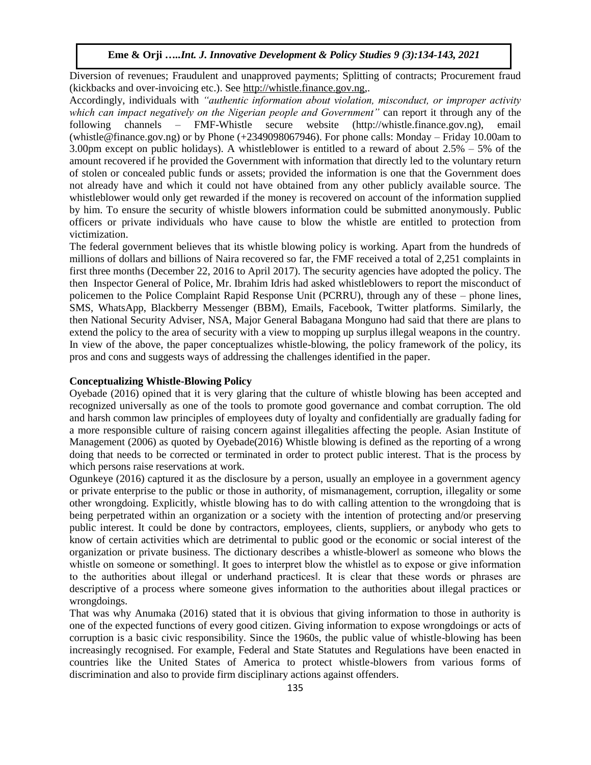Diversion of revenues; Fraudulent and unapproved payments; Splitting of contracts; Procurement fraud (kickbacks and over-invoicing etc.). See [http://whistle.finance.gov.ng,](http://whistle.finance.gov.ng/).

Accordingly, individuals with *"authentic information about violation, misconduct, or improper activity which can impact negatively on the Nigerian people and Government"* can report it through any of the following channels – FMF-Whistle secure website (http://whistle.finance.gov.ng), email (whistle@finance.gov.ng) or by Phone (+2349098067946). For phone calls: Monday – Friday 10.00am to 3.00pm except on public holidays). A whistleblower is entitled to a reward of about 2.5% – 5% of the amount recovered if he provided the Government with information that directly led to the voluntary return of stolen or concealed public funds or assets; provided the information is one that the Government does not already have and which it could not have obtained from any other publicly available source. The whistleblower would only get rewarded if the money is recovered on account of the information supplied by him. To ensure the security of whistle blowers information could be submitted anonymously. Public officers or private individuals who have cause to blow the whistle are entitled to protection from victimization.

The federal government believes that its whistle blowing policy is working. Apart from the hundreds of millions of dollars and billions of Naira recovered so far, the FMF received a total of 2,251 complaints in first three months (December 22, 2016 to April 2017). The security agencies have adopted the policy. The then Inspector General of Police, Mr. Ibrahim Idris had asked whistleblowers to report the misconduct of policemen to the Police Complaint Rapid Response Unit (PCRRU), through any of these – phone lines, SMS, WhatsApp, Blackberry Messenger (BBM), Emails, Facebook, Twitter platforms. Similarly, the then National Security Adviser, NSA, Major General Babagana Monguno had said that there are plans to extend the policy to the area of security with a view to mopping up surplus illegal weapons in the country. In view of the above, the paper conceptualizes whistle-blowing, the policy framework of the policy, its pros and cons and suggests ways of addressing the challenges identified in the paper.

#### **Conceptualizing Whistle-Blowing Policy**

Oyebade (2016) opined that it is very glaring that the culture of whistle blowing has been accepted and recognized universally as one of the tools to promote good governance and combat corruption. The old and harsh common law principles of employees duty of loyalty and confidentially are gradually fading for a more responsible culture of raising concern against illegalities affecting the people. Asian Institute of Management (2006) as quoted by Oyebade(2016) Whistle blowing is defined as the reporting of a wrong doing that needs to be corrected or terminated in order to protect public interest. That is the process by which persons raise reservations at work.

Ogunkeye (2016) captured it as the disclosure by a person, usually an employee in a government agency or private enterprise to the public or those in authority, of mismanagement, corruption, illegality or some other wrongdoing. Explicitly, whistle blowing has to do with calling attention to the wrongdoing that is being perpetrated within an organization or a society with the intention of protecting and/or preserving public interest. It could be done by contractors, employees, clients, suppliers, or anybody who gets to know of certain activities which are detrimental to public good or the economic or social interest of the organization or private business. The dictionary describes a whistle-blower‖ as someone who blows the whistle on someone or something. It goes to interpret blow the whistle as to expose or give information to the authorities about illegal or underhand practices‖. It is clear that these words or phrases are descriptive of a process where someone gives information to the authorities about illegal practices or wrongdoings.

That was why Anumaka (2016) stated that it is obvious that giving information to those in authority is one of the expected functions of every good citizen. Giving information to expose wrongdoings or acts of corruption is a basic civic responsibility. Since the 1960s, the public value of whistle-blowing has been increasingly recognised. For example, Federal and State Statutes and Regulations have been enacted in countries like the United States of America to protect whistle-blowers from various forms of discrimination and also to provide firm disciplinary actions against offenders.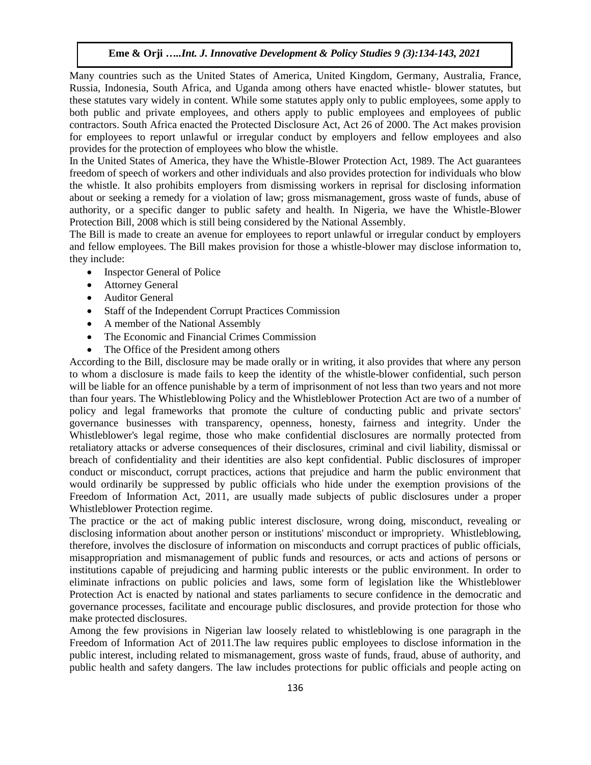Many countries such as the United States of America, United Kingdom, Germany, Australia, France, Russia, Indonesia, South Africa, and Uganda among others have enacted whistle- blower statutes, but these statutes vary widely in content. While some statutes apply only to public employees, some apply to both public and private employees, and others apply to public employees and employees of public contractors. South Africa enacted the Protected Disclosure Act, Act 26 of 2000. The Act makes provision for employees to report unlawful or irregular conduct by employers and fellow employees and also provides for the protection of employees who blow the whistle.

In the United States of America, they have the Whistle-Blower Protection Act, 1989. The Act guarantees freedom of speech of workers and other individuals and also provides protection for individuals who blow the whistle. It also prohibits employers from dismissing workers in reprisal for disclosing information about or seeking a remedy for a violation of law; gross mismanagement, gross waste of funds, abuse of authority, or a specific danger to public safety and health. In Nigeria, we have the Whistle-Blower Protection Bill, 2008 which is still being considered by the National Assembly.

The Bill is made to create an avenue for employees to report unlawful or irregular conduct by employers and fellow employees. The Bill makes provision for those a whistle-blower may disclose information to, they include:

- Inspector General of Police
- Attorney General
- Auditor General
- Staff of the Independent Corrupt Practices Commission
- A member of the National Assembly
- The Economic and Financial Crimes Commission
- The Office of the President among others

According to the Bill, disclosure may be made orally or in writing, it also provides that where any person to whom a disclosure is made fails to keep the identity of the whistle-blower confidential, such person will be liable for an offence punishable by a term of imprisonment of not less than two years and not more than four years. The Whistleblowing Policy and the Whistleblower Protection Act are two of a number of policy and legal frameworks that promote the culture of conducting public and private sectors' governance businesses with transparency, openness, honesty, fairness and integrity. Under the Whistleblower's legal regime, those who make confidential disclosures are normally protected from retaliatory attacks or adverse consequences of their disclosures, criminal and civil liability, dismissal or breach of confidentiality and their identities are also kept confidential. Public disclosures of improper conduct or misconduct, corrupt practices, actions that prejudice and harm the public environment that would ordinarily be suppressed by public officials who hide under the exemption provisions of the Freedom of Information Act, 2011, are usually made subjects of public disclosures under a proper Whistleblower Protection regime.

The practice or the act of making public interest disclosure, wrong doing, misconduct, revealing or disclosing information about another person or institutions' misconduct or impropriety. Whistleblowing, therefore, involves the disclosure of information on misconducts and corrupt practices of public officials, misappropriation and mismanagement of public funds and resources, or acts and actions of persons or institutions capable of prejudicing and harming public interests or the public environment. In order to eliminate infractions on public policies and laws, some form of legislation like the Whistleblower Protection Act is enacted by national and states parliaments to secure confidence in the democratic and governance processes, facilitate and encourage public disclosures, and provide protection for those who make protected disclosures.

Among the few provisions in Nigerian law loosely related to whistleblowing is one paragraph in the Freedom of Information Act of 2011.The law requires public employees to disclose information in the public interest, including related to mismanagement, gross waste of funds, fraud, abuse of authority, and public health and safety dangers. The law includes protections for public officials and people acting on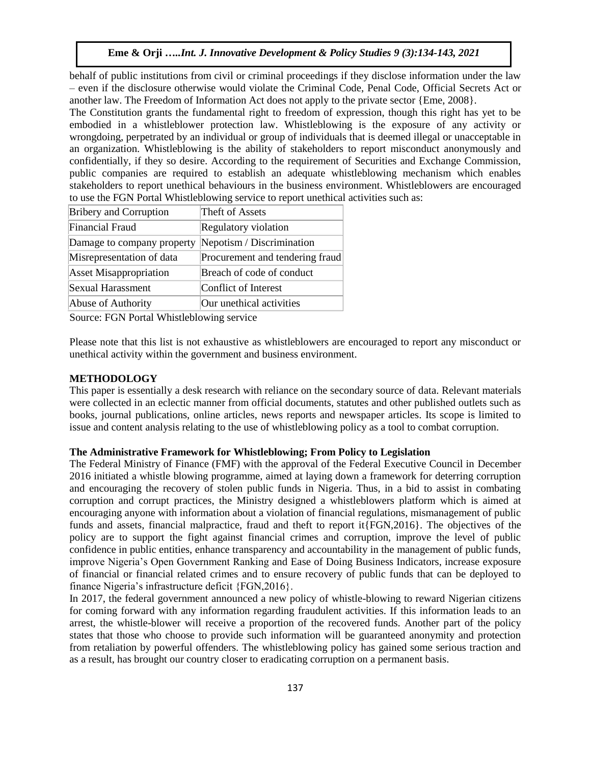behalf of public institutions from civil or criminal proceedings if they disclose information under the law – even if the disclosure otherwise would violate the Criminal Code, Penal Code, Official Secrets Act or another law. The Freedom of Information Act does not apply to the private sector {Eme, 2008}.

The Constitution grants the fundamental right to freedom of expression, though this right has yet to be embodied in a whistleblower protection law. Whistleblowing is the exposure of any activity or wrongdoing, perpetrated by an individual or group of individuals that is deemed illegal or unacceptable in an organization. Whistleblowing is the ability of stakeholders to report misconduct anonymously and confidentially, if they so desire. According to the requirement of Securities and Exchange Commission, public companies are required to establish an adequate whistleblowing mechanism which enables stakeholders to report unethical behaviours in the business environment. Whistleblowers are encouraged to use the FGN Portal Whistleblowing service to report unethical activities such as:

| <b>Bribery and Corruption</b> | Theft of Assets                 |
|-------------------------------|---------------------------------|
| <b>Financial Fraud</b>        | Regulatory violation            |
| Damage to company property    | Nepotism / Discrimination       |
| Misrepresentation of data     | Procurement and tendering fraud |
| <b>Asset Misappropriation</b> | Breach of code of conduct       |
| Sexual Harassment             | Conflict of Interest            |
| Abuse of Authority            | Our unethical activities        |

Source: FGN Portal Whistleblowing service

Please note that this list is not exhaustive as whistleblowers are encouraged to report any misconduct or unethical activity within the government and business environment.

## **METHODOLOGY**

This paper is essentially a desk research with reliance on the secondary source of data. Relevant materials were collected in an eclectic manner from official documents, statutes and other published outlets such as books, journal publications, online articles, news reports and newspaper articles. Its scope is limited to issue and content analysis relating to the use of whistleblowing policy as a tool to combat corruption.

## **The Administrative Framework for Whistleblowing; From Policy to Legislation**

The Federal Ministry of Finance (FMF) with the approval of the Federal Executive Council in December 2016 initiated a whistle blowing programme, aimed at laying down a framework for deterring corruption and encouraging the recovery of stolen public funds in Nigeria. Thus, in a bid to assist in combating corruption and corrupt practices, the Ministry designed a whistleblowers platform which is aimed at encouraging anyone with information about a violation of financial regulations, mismanagement of public funds and assets, financial malpractice, fraud and theft to report it{FGN,2016}. The objectives of the policy are to support the fight against financial crimes and corruption, improve the level of public confidence in public entities, enhance transparency and accountability in the management of public funds, improve Nigeria's Open Government Ranking and Ease of Doing Business Indicators, increase exposure of financial or financial related crimes and to ensure recovery of public funds that can be deployed to finance Nigeria's infrastructure deficit {FGN,2016}.

In 2017, the federal government announced a new policy of whistle-blowing to reward Nigerian citizens for coming forward with any information regarding fraudulent activities. If this information leads to an arrest, the whistle-blower will receive a proportion of the recovered funds. Another part of the policy states that those who choose to provide such information will be guaranteed anonymity and protection from retaliation by powerful offenders. The whistleblowing policy has gained some serious traction and as a result, has brought our country closer to eradicating corruption on a permanent basis.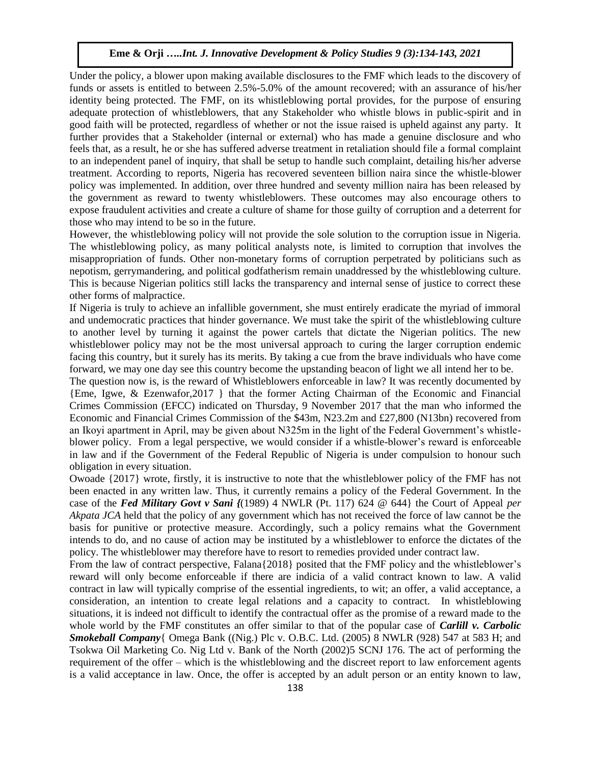Under the policy, a blower upon making available disclosures to the FMF which leads to the discovery of funds or assets is entitled to between 2.5%-5.0% of the amount recovered; with an assurance of his/her identity being protected. The FMF, on its whistleblowing portal provides, for the purpose of ensuring adequate protection of whistleblowers, that any Stakeholder who whistle blows in public-spirit and in good faith will be protected, regardless of whether or not the issue raised is upheld against any party. It further provides that a Stakeholder (internal or external) who has made a genuine disclosure and who feels that, as a result, he or she has suffered adverse treatment in retaliation should file a formal complaint to an independent panel of inquiry, that shall be setup to handle such complaint, detailing his/her adverse treatment. According to reports, Nigeria has recovered seventeen billion naira since the whistle-blower policy was implemented. In addition, over three hundred and seventy million naira has been released by the government as reward to twenty whistleblowers. These outcomes may also encourage others to expose fraudulent activities and create a culture of shame for those guilty of corruption and a deterrent for those who may intend to be so in the future.

However, the whistleblowing policy will not provide the sole solution to the corruption issue in Nigeria. The whistleblowing policy, as many political analysts note, is limited to corruption that involves the misappropriation of funds. Other non-monetary forms of corruption perpetrated by politicians such as nepotism, gerrymandering, and political godfatherism remain unaddressed by the whistleblowing culture. This is because Nigerian politics still lacks the transparency and internal sense of justice to correct these other forms of malpractice.

If Nigeria is truly to achieve an infallible government, she must entirely eradicate the myriad of immoral and undemocratic practices that hinder governance. We must take the spirit of the whistleblowing culture to another level by turning it against the power cartels that dictate the Nigerian politics. The new whistleblower policy may not be the most universal approach to curing the larger corruption endemic facing this country, but it surely has its merits. By taking a cue from the brave individuals who have come forward, we may one day see this country become the upstanding beacon of light we all intend her to be.

The question now is, is the reward of Whistleblowers enforceable in law? It was recently documented by {Eme, Igwe, & Ezenwafor,2017 } that the former Acting Chairman of the Economic and Financial Crimes Commission (EFCC) indicated on Thursday, 9 November 2017 that the man who informed the Economic and Financial Crimes Commission of the \$43m, N23.2m and £27,800 (N13bn) recovered from an Ikoyi apartment in April, may be given about N325m in the light of the Federal Government's whistleblower policy. From a legal perspective, we would consider if a whistle-blower's reward is enforceable in law and if the Government of the Federal Republic of Nigeria is under compulsion to honour such obligation in every situation.

Owoade {2017} wrote, firstly, it is instructive to note that the whistleblower policy of the FMF has not been enacted in any written law. Thus, it currently remains a policy of the Federal Government. In the case of the *Fed Military Govt v Sani {*(1989) 4 NWLR (Pt. 117) 624 @ 644} the Court of Appeal *per Akpata JCA* held that the policy of any government which has not received the force of law cannot be the basis for punitive or protective measure. Accordingly, such a policy remains what the Government intends to do, and no cause of action may be instituted by a whistleblower to enforce the dictates of the policy. The whistleblower may therefore have to resort to remedies provided under contract law.

From the law of contract perspective, Falana{2018} posited that the FMF policy and the whistleblower's reward will only become enforceable if there are indicia of a valid contract known to law. A valid contract in law will typically comprise of the essential ingredients, to wit; an offer, a valid acceptance, a consideration, an intention to create legal relations and a capacity to contract. In whistleblowing situations, it is indeed not difficult to identify the contractual offer as the promise of a reward made to the whole world by the FMF constitutes an offer similar to that of the popular case of *Carlill v. Carbolic Smokeball Company*{ Omega Bank ((Nig.) Plc v. O.B.C. Ltd. (2005) 8 NWLR (928) 547 at 583 H; and Tsokwa Oil Marketing Co. Nig Ltd v. Bank of the North (2002)5 SCNJ 176. The act of performing the requirement of the offer – which is the whistleblowing and the discreet report to law enforcement agents is a valid acceptance in law. Once, the offer is accepted by an adult person or an entity known to law,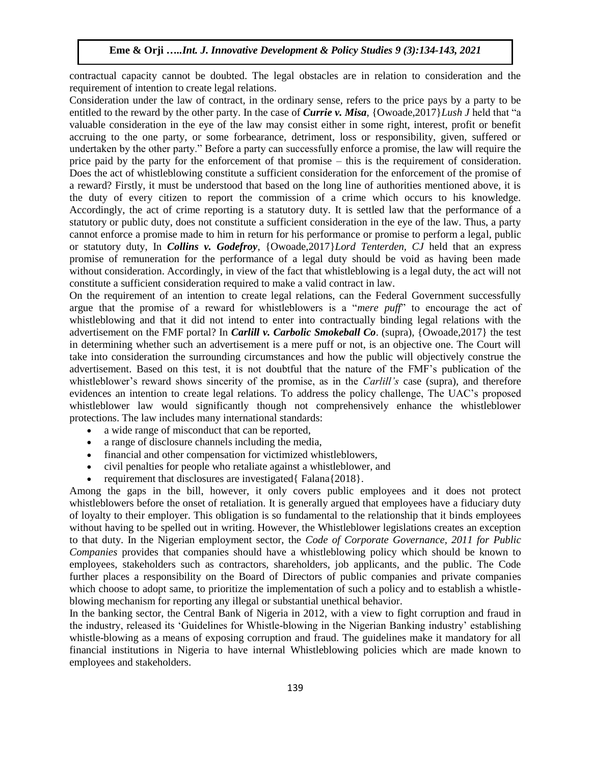contractual capacity cannot be doubted. The legal obstacles are in relation to consideration and the requirement of intention to create legal relations.

Consideration under the law of contract, in the ordinary sense, refers to the price pays by a party to be entitled to the reward by the other party. In the case of *Currie v. Misa*, {Owoade,2017}*Lush J* held that "a valuable consideration in the eye of the law may consist either in some right, interest, profit or benefit accruing to the one party, or some forbearance, detriment, loss or responsibility, given, suffered or undertaken by the other party." Before a party can successfully enforce a promise, the law will require the price paid by the party for the enforcement of that promise – this is the requirement of consideration. Does the act of whistleblowing constitute a sufficient consideration for the enforcement of the promise of a reward? Firstly, it must be understood that based on the long line of authorities mentioned above, it is the duty of every citizen to report the commission of a crime which occurs to his knowledge. Accordingly, the act of crime reporting is a statutory duty. It is settled law that the performance of a statutory or public duty, does not constitute a sufficient consideration in the eye of the law. Thus, a party cannot enforce a promise made to him in return for his performance or promise to perform a legal, public or statutory duty, In *Collins v. Godefroy*, {Owoade,2017}*Lord Tenterden, CJ* held that an express promise of remuneration for the performance of a legal duty should be void as having been made without consideration. Accordingly, in view of the fact that whistleblowing is a legal duty, the act will not constitute a sufficient consideration required to make a valid contract in law.

On the requirement of an intention to create legal relations, can the Federal Government successfully argue that the promise of a reward for whistleblowers is a "*mere puff*" to encourage the act of whistleblowing and that it did not intend to enter into contractually binding legal relations with the advertisement on the FMF portal? In *Carlill v. Carbolic Smokeball Co*. (supra), {Owoade,2017} the test in determining whether such an advertisement is a mere puff or not, is an objective one. The Court will take into consideration the surrounding circumstances and how the public will objectively construe the advertisement. Based on this test, it is not doubtful that the nature of the FMF's publication of the whistleblower's reward shows sincerity of the promise, as in the *Carlill's* case (supra), and therefore evidences an intention to create legal relations. To address the policy challenge, The UAC's proposed whistleblower law would significantly though not comprehensively enhance the whistleblower protections. The law includes many international standards:

- a wide range of misconduct that can be reported,
- a range of disclosure channels including the media,
- financial and other compensation for victimized whistleblowers,
- civil penalties for people who retaliate against a whistleblower, and
- requirement that disclosures are investigated{ Falana{2018}.

Among the gaps in the bill, however, it only covers public employees and it does not protect whistleblowers before the onset of retaliation. It is generally argued that employees have a fiduciary duty of loyalty to their employer. This obligation is so fundamental to the relationship that it binds employees without having to be spelled out in writing. However, the Whistleblower legislations creates an exception to that duty. In the Nigerian employment sector, the *Code of Corporate Governance, 2011 for Public Companies* provides that companies should have a whistleblowing policy which should be known to employees, stakeholders such as contractors, shareholders, job applicants, and the public. The Code further places a responsibility on the Board of Directors of public companies and private companies which choose to adopt same, to prioritize the implementation of such a policy and to establish a whistleblowing mechanism for reporting any illegal or substantial unethical behavior.

In the banking sector, the Central Bank of Nigeria in 2012, with a view to fight corruption and fraud in the industry, released its 'Guidelines for Whistle-blowing in the Nigerian Banking industry' establishing whistle-blowing as a means of exposing corruption and fraud. The guidelines make it mandatory for all financial institutions in Nigeria to have internal Whistleblowing policies which are made known to employees and stakeholders.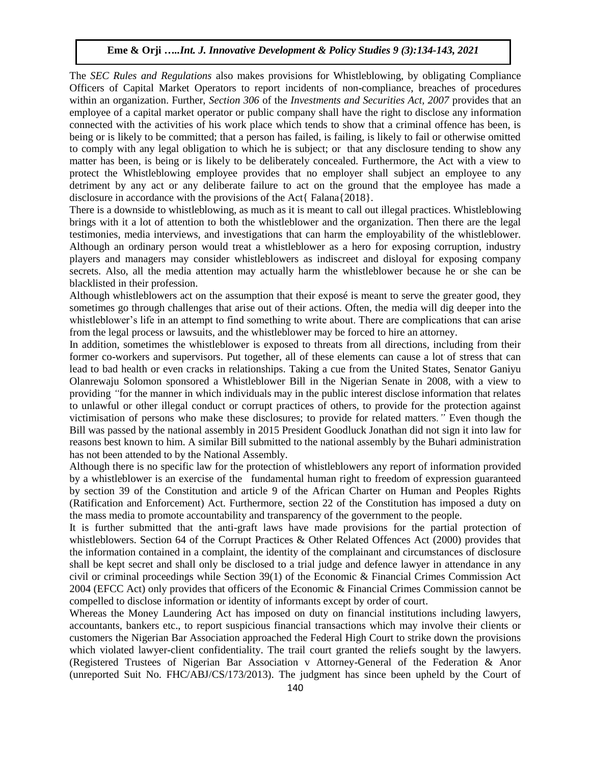The *SEC Rules and Regulations* also makes provisions for Whistleblowing, by obligating Compliance Officers of Capital Market Operators to report incidents of non-compliance, breaches of procedures within an organization. Further, *Section 306* of the *Investments and Securities Act, 2007* provides that an employee of a capital market operator or public company shall have the right to disclose any information connected with the activities of his work place which tends to show that a criminal offence has been, is being or is likely to be committed; that a person has failed, is failing, is likely to fail or otherwise omitted to comply with any legal obligation to which he is subject; or that any disclosure tending to show any matter has been, is being or is likely to be deliberately concealed. Furthermore, the Act with a view to protect the Whistleblowing employee provides that no employer shall subject an employee to any detriment by any act or any deliberate failure to act on the ground that the employee has made a disclosure in accordance with the provisions of the Act{ Falana{2018}.

There is a downside to whistleblowing, as much as it is meant to call out illegal practices. Whistleblowing brings with it a lot of attention to both the whistleblower and the organization. Then there are the legal testimonies, media interviews, and investigations that can harm the employability of the whistleblower. Although an ordinary person would treat a whistleblower as a hero for exposing corruption, industry players and managers may consider whistleblowers as indiscreet and disloyal for exposing company secrets. Also, all the media attention may actually harm the whistleblower because he or she can be blacklisted in their profession.

Although whistleblowers act on the assumption that their exposé is meant to serve the greater good, they sometimes go through challenges that arise out of their actions. Often, the media will dig deeper into the whistleblower's life in an attempt to find something to write about. There are complications that can arise from the legal process or lawsuits, and the whistleblower may be forced to hire an attorney.

In addition, sometimes the whistleblower is exposed to threats from all directions, including from their former co-workers and supervisors. Put together, all of these elements can cause a lot of stress that can lead to bad health or even cracks in relationships. Taking a cue from the United States, Senator Ganiyu Olanrewaju Solomon sponsored a Whistleblower Bill in the Nigerian Senate in 2008, with a view to providing *"*for the manner in which individuals may in the public interest disclose information that relates to unlawful or other illegal conduct or corrupt practices of others, to provide for the protection against victimisation of persons who make these disclosures; to provide for related matters*."* Even though the Bill was passed by the national assembly in 2015 President Goodluck Jonathan did not sign it into law for reasons best known to him. A similar Bill submitted to the national assembly by the Buhari administration has not been attended to by the National Assembly.

Although there is no specific law for the protection of whistleblowers any report of information provided by a whistleblower is an exercise of the fundamental human right to freedom of expression guaranteed by section 39 of the Constitution and article 9 of the African Charter on Human and Peoples Rights (Ratification and Enforcement) Act. Furthermore, section 22 of the Constitution has imposed a duty on the mass media to promote accountability and transparency of the government to the people.

It is further submitted that the anti-graft laws have made provisions for the partial protection of whistleblowers. Section 64 of the Corrupt Practices & Other Related Offences Act (2000) provides that the information contained in a complaint, the identity of the complainant and circumstances of disclosure shall be kept secret and shall only be disclosed to a trial judge and defence lawyer in attendance in any civil or criminal proceedings while Section 39(1) of the Economic & Financial Crimes Commission Act 2004 (EFCC Act) only provides that officers of the Economic & Financial Crimes Commission cannot be compelled to disclose information or identity of informants except by order of court.

Whereas the Money Laundering Act has imposed on duty on financial institutions including lawyers, accountants, bankers etc., to report suspicious financial transactions which may involve their clients or customers the Nigerian Bar Association approached the Federal High Court to strike down the provisions which violated lawyer-client confidentiality. The trail court granted the reliefs sought by the lawyers. (Registered Trustees of Nigerian Bar Association v Attorney-General of the Federation & Anor (unreported Suit No. FHC/ABJ/CS/173/2013). The judgment has since been upheld by the Court of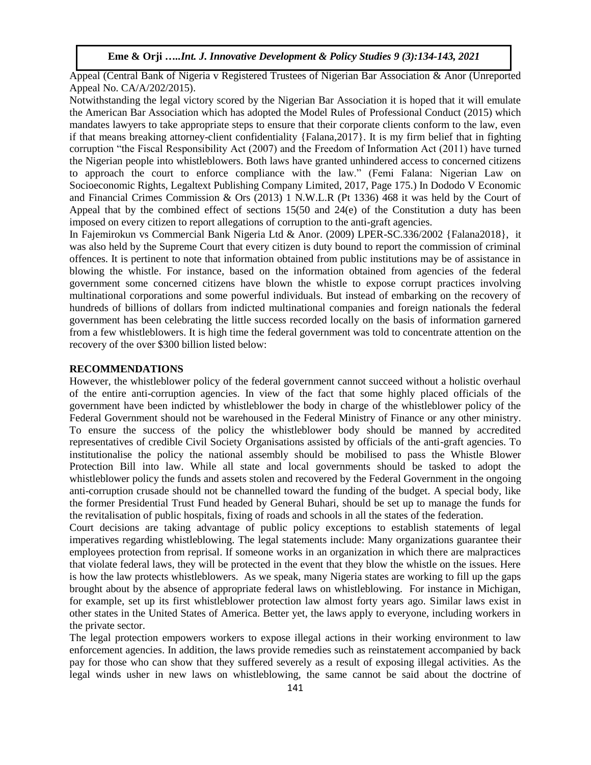Appeal (Central Bank of Nigeria v Registered Trustees of Nigerian Bar Association & Anor (Unreported Appeal No. CA/A/202/2015).

Notwithstanding the legal victory scored by the Nigerian Bar Association it is hoped that it will emulate the American Bar Association which has adopted the Model Rules of Professional Conduct (2015) which mandates lawyers to take appropriate steps to ensure that their corporate clients conform to the law, even if that means breaking attorney-client confidentiality {Falana,2017}. It is my firm belief that in fighting corruption "the Fiscal Responsibility Act (2007) and the Freedom of Information Act (2011) have turned the Nigerian people into whistleblowers. Both laws have granted unhindered access to concerned citizens to approach the court to enforce compliance with the law." (Femi Falana: Nigerian Law on Socioeconomic Rights, Legaltext Publishing Company Limited, 2017, Page 175.) In Dododo V Economic and Financial Crimes Commission & Ors (2013) 1 N.W.L.R (Pt 1336) 468 it was held by the Court of Appeal that by the combined effect of sections 15(50 and 24(e) of the Constitution a duty has been imposed on every citizen to report allegations of corruption to the anti-graft agencies.

In Fajemirokun vs Commercial Bank Nigeria Ltd & Anor. (2009) LPER-SC.336/2002 {Falana2018}, it was also held by the Supreme Court that every citizen is duty bound to report the commission of criminal offences. It is pertinent to note that information obtained from public institutions may be of assistance in blowing the whistle. For instance, based on the information obtained from agencies of the federal government some concerned citizens have blown the whistle to expose corrupt practices involving multinational corporations and some powerful individuals. But instead of embarking on the recovery of hundreds of billions of dollars from indicted multinational companies and foreign nationals the federal government has been celebrating the little success recorded locally on the basis of information garnered from a few whistleblowers. It is high time the federal government was told to concentrate attention on the recovery of the over \$300 billion listed below:

#### **RECOMMENDATIONS**

However, the whistleblower policy of the federal government cannot succeed without a holistic overhaul of the entire anti-corruption agencies. In view of the fact that some highly placed officials of the government have been indicted by whistleblower the body in charge of the whistleblower policy of the Federal Government should not be warehoused in the Federal Ministry of Finance or any other ministry. To ensure the success of the policy the whistleblower body should be manned by accredited representatives of credible Civil Society Organisations assisted by officials of the anti-graft agencies. To institutionalise the policy the national assembly should be mobilised to pass the Whistle Blower Protection Bill into law. While all state and local governments should be tasked to adopt the whistleblower policy the funds and assets stolen and recovered by the Federal Government in the ongoing anti-corruption crusade should not be channelled toward the funding of the budget. A special body, like the former Presidential Trust Fund headed by General Buhari, should be set up to manage the funds for the revitalisation of public hospitals, fixing of roads and schools in all the states of the federation.

Court decisions are taking advantage of public policy exceptions to establish statements of legal imperatives regarding whistleblowing. The legal statements include: Many organizations guarantee their employees protection from reprisal. If someone works in an organization in which there are malpractices that violate federal laws, they will be protected in the event that they blow the whistle on the issues. Here is how the law protects whistleblowers. As we speak, many Nigeria states are working to fill up the gaps brought about by the absence of appropriate federal laws on whistleblowing. For instance in Michigan, for example, set up its first whistleblower protection law almost forty years ago. Similar laws exist in other states in the United States of America. Better yet, the laws apply to everyone, including workers in the private sector.

The legal protection empowers workers to expose illegal actions in their working environment to law enforcement agencies. In addition, the laws provide remedies such as reinstatement accompanied by back pay for those who can show that they suffered severely as a result of exposing illegal activities. As the legal winds usher in new laws on whistleblowing, the same cannot be said about the doctrine of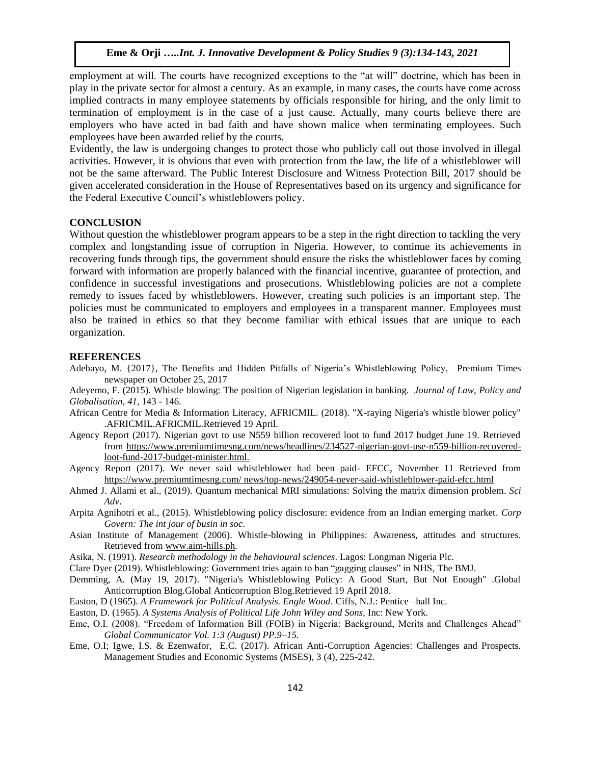employment at will. The courts have recognized exceptions to the "at will" doctrine, which has been in play in the private sector for almost a century. As an example, in many cases, the courts have come across implied contracts in many employee statements by officials responsible for hiring, and the only limit to termination of employment is in the case of a just cause. Actually, many courts believe there are employers who have acted in bad faith and have shown malice when terminating employees. Such employees have been awarded relief by the courts.

Evidently, the law is undergoing changes to protect those who publicly call out those involved in illegal activities. However, it is obvious that even with protection from the law, the life of a whistleblower will not be the same afterward. The Public Interest Disclosure and Witness Protection Bill, 2017 should be given accelerated consideration in the House of Representatives based on its urgency and significance for the Federal Executive Council's whistleblowers policy.

## **CONCLUSION**

Without question the whistleblower program appears to be a step in the right direction to tackling the very complex and longstanding issue of corruption in Nigeria. However, to continue its achievements in recovering funds through tips, the government should ensure the risks the whistleblower faces by coming forward with information are properly balanced with the financial incentive, guarantee of protection, and confidence in successful investigations and prosecutions. Whistleblowing policies are not a complete remedy to issues faced by whistleblowers. However, creating such policies is an important step. The policies must be communicated to employers and employees in a transparent manner. Employees must also be trained in ethics so that they become familiar with ethical issues that are unique to each organization.

#### **REFERENCES**

[Adebayo,](http://royalfm.net/author/reniadebayo/) M. {2017}, The Benefits and Hidden Pitfalls of Nigeria's Whistleblowing Policy, Premium Times newspaper on October 25, 2017

Adeyemo, F. (2015). Whistle blowing: The position of Nigerian legislation in banking. *Journal of Law, Policy and Globalisation*, *41*, 143 - 146.

- African Centre for Media & Information Literacy, AFRICMIL. (2018). "X-raying Nigeria's whistle blower policy" .AFRICMIL.AFRICMIL.Retrieved 19 April.
- Agency Report (2017). Nigerian govt to use N559 billion recovered loot to fund 2017 budget June 19. Retrieved from https://www.premiumtimesng.com/news/headlines/234527-nigerian-govt-use[-n559-billion-recovered](https://www.premiumtimesng.com/news/headlines/234527-nigerian-govt-use-n559-billion-recovered-loot-fund-2017-budget-minister.html)[loot-fund-2017-budget-minister.html.](https://www.premiumtimesng.com/news/headlines/234527-nigerian-govt-use-n559-billion-recovered-loot-fund-2017-budget-minister.html)
- Agency Report (2017). We never said whistleblower had been paid- EFCC, November 11 Retrieved fro[m](../../../../pc/Desktop/2021/%20https:/www.premiumtimesng.com/%20news/top-) [https://www.premiumtimesng.com/ news/top-](../../../../pc/Desktop/2021/%20https:/www.premiumtimesng.com/%20news/top-)[news/249054-never-said-whistleblower-paid-efcc.html](https://www.premiumtimesng.com/news/top-news/249054-never-said-whistleblower-paid-efcc.html)
- Ahmed J. Allami et al., (2019). [Quantum mechanical MRI simulations: Solving the matrix dimension problem.](https://advances.sciencemag.org/content/5/7/eaaw8962?utm_source=TrendMD&utm_medium=cpc&utm_campaign=TrendMD_1) *Sci Adv*.
- Arpita Agnihotri et al., (2015). [Whistleblowing policy disclosure: evidence from an Indian emerging market.](https://www.emerald.com/insight/content/doi/10.1108/CG-05-2014-0057/full/html?utm_source=TrendMD&utm_medium=cpc&utm_campaign=Corp_Govern%253A_The_int_jour_of_busin_in_soc_TrendMD_0&WT.mc_id=Emerald_TrendMD_0) *Corp Govern: The int jour of busin in soc*.
- Asian Institute of Management (2006). Whistle-blowing in Philippines: Awareness, attitudes and structures. Retrieved from [www.aim-hills.ph.](http://www.aim-hills.ph/)
- Asika, N. (1991). *Research methodology in the behavioural sciences*. Lagos: Longman Nigeria Plc.
- Clare Dyer (2019). [Whistleblowing: Government tries again to ban "gagging clauses" in NHS,](https://www.bmj.com/content/365/bmj.l2052?utm_campaign=tbmj&utm_medium=cpc&utm_source=trendmd&utm_term=usage-042019&utm_content=consumer) The BMJ.
- Demming, A. (May 19, 2017). "Nigeria's Whistleblowing Policy: A Good Start, But Not Enough" .Global Anticorruption Blog.Global Anticorruption Blog.Retrieved 19 April 2018.
- Easton, D (1965). *A Framework for Political Analysis. Engle Wood*. Ciffs, N.J.: Pentice –hall Inc.
- Easton, D. (1965). *A Systems Analysis of Political Life John Wiley and Sons,* Inc: New York.
- Eme, O.I. (2008). "Freedom of Information Bill (FOIB) in Nigeria: Background, Merits and Challenges Ahead" *Global Communicator Vol. 1:3 (August) PP.9–15.*
- Eme, O.I; Igwe, I.S. & Ezenwafor, E.C. (2017). African Anti-Corruption Agencies: Challenges and Prospects. Management Studies and Economic Systems (MSES), 3 (4), 225-242.